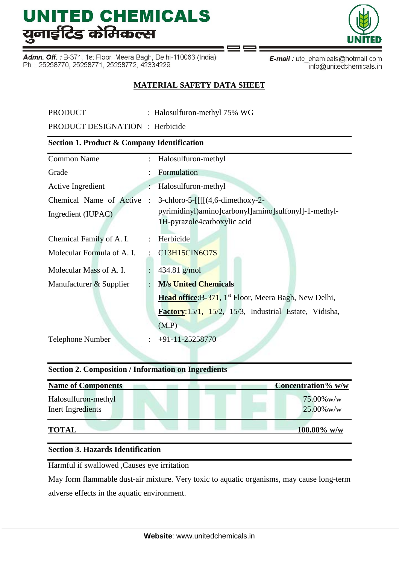Admn. Off.: B-371, 1st Floor, Meera Bagh, Delhi-110063 (India) Ph.: 25258770, 25258771, 25258772, 42334229



## **MATERIAL SAFETY DATA SHEET**

| <b>PRODUCT</b>                                         |                | : Halosulfuron-methyl 75% WG                                                                                                        |  |  |  |  |  |  |  |
|--------------------------------------------------------|----------------|-------------------------------------------------------------------------------------------------------------------------------------|--|--|--|--|--|--|--|
| <b>PRODUCT DESIGNATION</b> : Herbicide                 |                |                                                                                                                                     |  |  |  |  |  |  |  |
| <b>Section 1. Product &amp; Company Identification</b> |                |                                                                                                                                     |  |  |  |  |  |  |  |
| <b>Common Name</b>                                     |                | Halosulfuron-methyl<br>$\mathbf{L}$                                                                                                 |  |  |  |  |  |  |  |
| Grade                                                  |                | Formulation                                                                                                                         |  |  |  |  |  |  |  |
| Active Ingredient                                      |                | Halosulfuron-methyl                                                                                                                 |  |  |  |  |  |  |  |
| Chemical Name of Active<br>Ingredient (IUPAC)          |                | 3-chloro-5- $[[[[(4,6\text{-dimethoxy-2-}))$<br>pyrimidinyl)amino]carbonyl]amino]sulfonyl]-1-methyl-<br>1H-pyrazole4carboxylic acid |  |  |  |  |  |  |  |
| Chemical Family of A. I.                               |                | Herbicide                                                                                                                           |  |  |  |  |  |  |  |
| Molecular Formula of A. I.                             |                | C13H15ClN6O7S                                                                                                                       |  |  |  |  |  |  |  |
| Molecular Mass of A. I.                                | $\ddot{\cdot}$ | 434.81 $g/mol$                                                                                                                      |  |  |  |  |  |  |  |
| Manufacturer & Supplier                                |                | <b>M/s United Chemicals</b>                                                                                                         |  |  |  |  |  |  |  |
|                                                        |                | Head office: B-371, 1 <sup>st</sup> Floor, Meera Bagh, New Delhi,                                                                   |  |  |  |  |  |  |  |
|                                                        |                | Factory:15/1, 15/2, 15/3, Industrial Estate, Vidisha,                                                                               |  |  |  |  |  |  |  |
|                                                        |                | (M.P)                                                                                                                               |  |  |  |  |  |  |  |
| Telephone Number                                       |                | +91-11-25258770                                                                                                                     |  |  |  |  |  |  |  |

### **Section 2. Composition / Information on Ingredients**

| <b>Name of Components</b>                | Concentration% w/w          |
|------------------------------------------|-----------------------------|
| Halosulfuron-methyl<br>Inert Ingredients | 75.00% w/w<br>$25.00\%$ w/w |
| <b>TOTAL</b>                             | $100.00\%$ w/w              |

### **Section 3. Hazards Identification**

Harmful if swallowed ,Causes eye irritation

May form flammable dust-air mixture. Very toxic to aquatic organisms, may cause long-term adverse effects in the aquatic environment.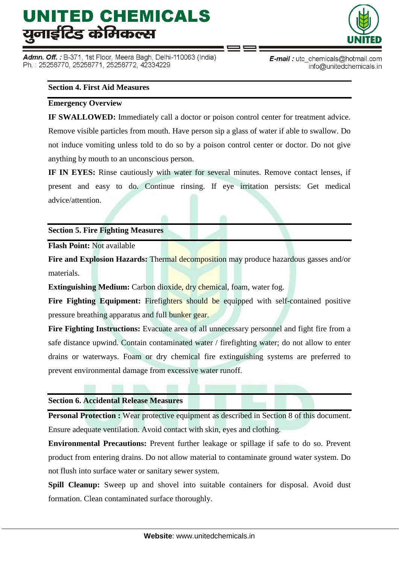Admn. Off. : B-371, 1st Floor, Meera Bagh, Delhi-110063 (India) Ph.: 25258770, 25258771, 25258772, 42334229



**E-mail**: utc chemicals@hotmail.com info@unitedchemicals.in

#### **Section 4. First Aid Measures**

#### **Emergency Overview**

**IF SWALLOWED:** Immediately call a doctor or poison control center for treatment advice. Remove visible particles from mouth. Have person sip a glass of water if able to swallow. Do not induce vomiting unless told to do so by a poison control center or doctor. Do not give anything by mouth to an unconscious person.

**IF IN EYES:** Rinse cautiously with water for several minutes. Remove contact lenses, if present and easy to do. Continue rinsing. If eye irritation persists: Get medical advice/attention.

#### **Section 5. Fire Fighting Measures**

**Flash Point:** Not available

**Fire and Explosion Hazards:** Thermal decomposition may produce hazardous gasses and/or materials.

**Extinguishing Medium:** Carbon dioxide, dry chemical, foam, water fog.

Fire Fighting Equipment: Firefighters should be equipped with self-contained positive pressure breathing apparatus and full bunker gear.

**Fire Fighting Instructions:** Evacuate area of all unnecessary personnel and fight fire from a safe distance upwind. Contain contaminated water / firefighting water; do not allow to enter drains or waterways. Foam or dry chemical fire extinguishing systems are preferred to prevent environmental damage from excessive water runoff.

#### **Section 6. Accidental Release Measures**

**Personal Protection :** Wear protective equipment as described in Section 8 of this document. Ensure adequate ventilation. Avoid contact with skin, eyes and clothing.

**Environmental Precautions:** Prevent further leakage or spillage if safe to do so. Prevent product from entering drains. Do not allow material to contaminate ground water system. Do not flush into surface water or sanitary sewer system.

**Spill Cleanup:** Sweep up and shovel into suitable containers for disposal. Avoid dust formation. Clean contaminated surface thoroughly.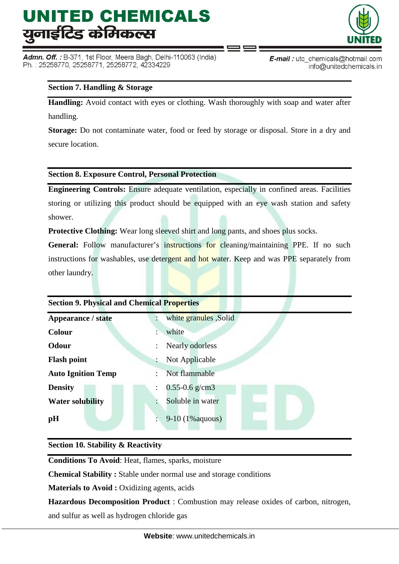Admn. Off.: B-371, 1st Floor, Meera Bagh, Delhi-110063 (India) Ph.: 25258770, 25258771, 25258772, 42334229



**E-mail**: utc chemicals@hotmail.com info@unitedchemicals.in

### **Section 7. Handling & Storage**

**Handling:** Avoid contact with eyes or clothing. Wash thoroughly with soap and water after handling.

**Storage:** Do not contaminate water, food or feed by storage or disposal. Store in a dry and secure location.

**Section 8. Exposure Control, Personal Protection**

**Engineering Controls:** Ensure adequate ventilation, especially in confined areas. Facilities storing or utilizing this product should be equipped with an eye wash station and safety shower.

**Protective Clothing:** Wear long sleeved shirt and long pants, and shoes plus socks.

General: Follow manufacturer's instructions for cleaning/maintaining PPE. If no such instructions for washables, use detergent and hot water. Keep and was PPE separately from other laundry.

| <b>Section 9. Physical and Chemical Properties</b> |                        |  |  |  |  |  |  |  |
|----------------------------------------------------|------------------------|--|--|--|--|--|--|--|
| <b>Appearance / state</b>                          | white granules , Solid |  |  |  |  |  |  |  |
| <b>Colour</b>                                      | white                  |  |  |  |  |  |  |  |
| Odour                                              | Nearly odorless        |  |  |  |  |  |  |  |
| <b>Flash point</b>                                 | Not Applicable         |  |  |  |  |  |  |  |
| <b>Auto Ignition Temp</b>                          | Not flammable          |  |  |  |  |  |  |  |
| <b>Density</b>                                     | $0.55 - 0.6$ g/cm3     |  |  |  |  |  |  |  |
| <b>Water solubility</b>                            | Soluble in water       |  |  |  |  |  |  |  |
| pH                                                 | $9-10(1\%aquous)$      |  |  |  |  |  |  |  |

### **Section 10. Stability & Reactivity**

**Conditions To Avoid**: Heat, flames, sparks, moisture

**Chemical Stability :** Stable under normal use and storage conditions

**Materials to Avoid :** Oxidizing agents, acids

**Hazardous Decomposition Product** : Combustion may release oxides of carbon, nitrogen, and sulfur as well as hydrogen chloride gas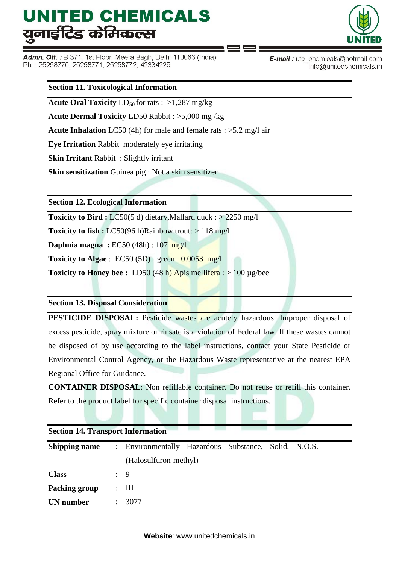Admn. Off.: B-371, 1st Floor, Meera Bagh, Delhi-110063 (India) Ph.: 25258770, 25258771, 25258772, 42334229



E-mail: utc\_chemicals@hotmail.com info@unitedchemicals.in

#### **Section 11. Toxicological Information**

**Acute Oral Toxicity**  $LD_{50}$  for rats :  $>1,287$  mg/kg

**Acute Dermal Toxicity** LD50 Rabbit : >5,000 mg /kg

**Acute Inhalation** LC50 (4h) for male and female rats : >5.2 mg/l air

**Eye Irritation** Rabbit moderately eye irritating

**Skin Irritant** Rabbit : Slightly irritant

**Skin sensitization** Guinea pig : Not a skin sensitizer

**Section 12. Ecological Information**

**Toxicity to Bird :** LC50(5 d) dietary, Mallard duck : > 2250 mg/l

**Toxicity to fish :** LC50(96 h)Rainbow trout: > 118 mg/l

**Daphnia magna :** EC50 (48h) : 107 mg/l

**Toxicity to Algae** : EC50 (5D) green : 0.0053 mg/l

**Toxicity to Honey bee :** LD50 (48 h) Apis mellifera :  $> 100 \mu$  g/bee

#### **Section 13. Disposal Consideration**

**PESTICIDE DISPOSAL:** Pesticide wastes are acutely hazardous. Improper disposal of excess pesticide, spray mixture or rinsate is a violation of Federal law. If these wastes cannot be disposed of by use according to the label instructions, contact your State Pesticide or Environmental Control Agency, or the Hazardous Waste representative at the nearest EPA Regional Office for Guidance.

**CONTAINER DISPOSAL**: Non refillable container. Do not reuse or refill this container. Refer to the product label for specific container disposal instructions.

| <b>Section 14. Transport Information</b> |   |                                                      |  |  |  |  |  |  |  |  |
|------------------------------------------|---|------------------------------------------------------|--|--|--|--|--|--|--|--|
| <b>Shipping name</b>                     |   | : Environmentally Hazardous Substance, Solid, N.O.S. |  |  |  |  |  |  |  |  |
|                                          |   | (Halosulfuron-methyl)                                |  |  |  |  |  |  |  |  |
| <b>Class</b>                             |   | $\frac{1}{2}$ 9                                      |  |  |  |  |  |  |  |  |
| Packing group                            | ٠ | Ш                                                    |  |  |  |  |  |  |  |  |
| <b>UN</b> number                         |   | 3077                                                 |  |  |  |  |  |  |  |  |